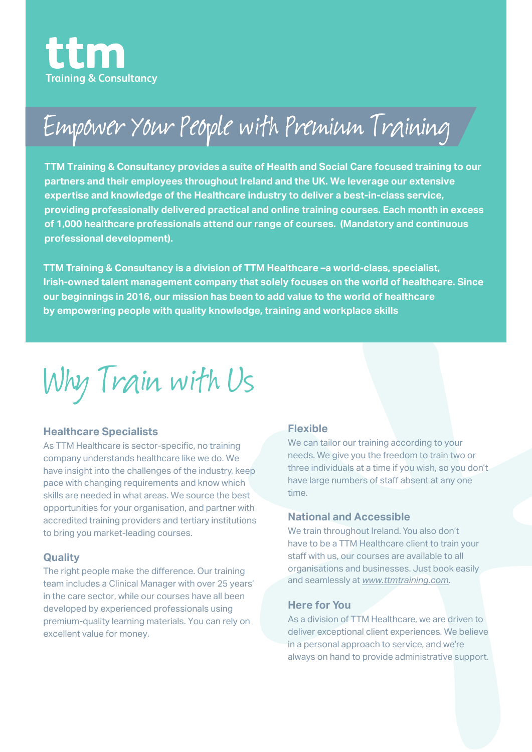

# Empower Your People with Premium Training

**TTM Training & Consultancy provides a suite of Health and Social Care focused training to our partners and their employees throughout Ireland and the UK. We leverage our extensive expertise and knowledge of the Healthcare industry to deliver a best-in-class service, providing professionally delivered practical and online training courses. Each month in excess of 1,000 healthcare professionals attend our range of courses. (Mandatory and continuous professional development).**

**TTM Training & Consultancy is a division of TTM Healthcare –a world-class, specialist, Irish-owned talent management company that solely focuses on the world of healthcare. Since our beginnings in 2016, our mission has been to add value to the world of healthcare by empowering people with quality knowledge, training and workplace skills**

Why Train with Us

#### **Healthcare Specialists**

As TTM Healthcare is sector-specific, no training company understands healthcare like we do. We have insight into the challenges of the industry, keep pace with changing requirements and know which skills are needed in what areas. We source the best opportunities for your organisation, and partner with accredited training providers and tertiary institutions to bring you market-leading courses.

#### **Quality**

The right people make the difference. Our training team includes a Clinical Manager with over 25 years' in the care sector, while our courses have all been developed by experienced professionals using premium-quality learning materials. You can rely on excellent value for money.

#### **Flexible**

We can tailor our training according to your needs. We give you the freedom to train two or three individuals at a time if you wish, so you don't have large numbers of staff absent at any one time.

#### **National and Accessible**

We train throughout Ireland. You also don't have to be a TTM Healthcare client to train your staff with us, our courses are available to all organisations and businesses. Just book easily and seamlessly at *<www.ttmtraining.com>*.

#### **Here for You**

As a division of TTM Healthcare, we are driven to deliver exceptional client experiences. We believe in a personal approach to service, and we're always on hand to provide administrative support.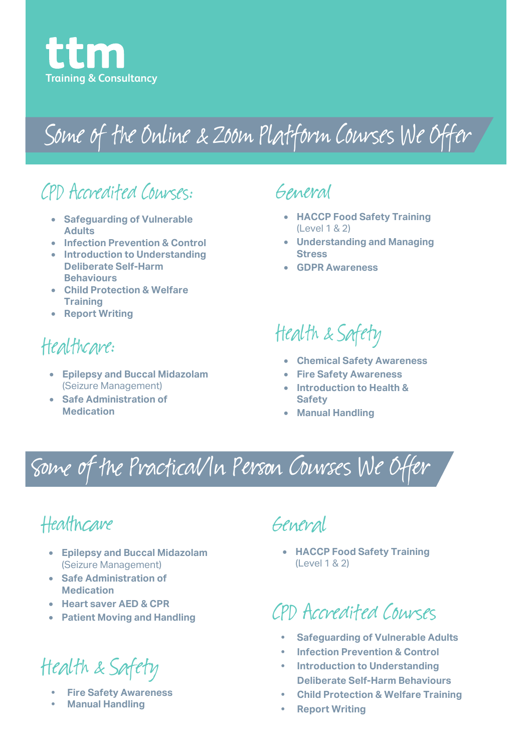

# Some of the Online & Zoom Platform Courses We Offer

## CPD Accredited Courses:

- **Safeguarding of Vulnerable Adults**
- **Infection Prevention & Control**
- **Introduction to Understanding Deliberate Self-Harm Behaviours**
- **Child Protection & Welfare Training**
- **Report Writing**

## Healthcare:

- **Epilepsy and Buccal Midazolam** (Seizure Management)
- **Safe Administration of Medication**

## General

- **HACCP Food Safety Training** (Level 1 & 2)
- **Understanding and Managing Stress**
- **GDPR Awareness**

## Health & Safety

- **Chemical Safety Awareness**
- **Fire Safety Awareness**
- **Introduction to Health & Safety**
- **Manual Handling**

## Some of the Practical/In Person Courses We Offer

## Healthcare General

- **Epilepsy and Buccal Midazolam** (Seizure Management)
- **Safe Administration of Medication**
- **Heart saver AED & CPR**
- **Patient Moving and Handling**

Health & Safety

- **• Fire Safety Awareness**
- **• Manual Handling**

• **HACCP Food Safety Training** (Level 1 & 2)

## CPD Accredited Courses

- **• Safeguarding of Vulnerable Adults**
- **• Infection Prevention & Control**
- **• Introduction to Understanding Deliberate Self-Harm Behaviours**
- **• Child Protection & Welfare Training**
- **• Report Writing**